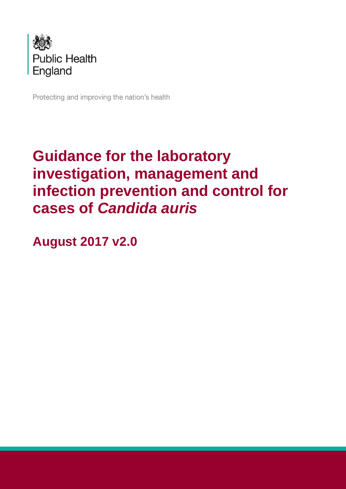

Protecting and improving the nation's health

# **Guidance for the laboratory investigation, management and infection prevention and control for cases of** *Candida auris*

**August 2017 v2.0**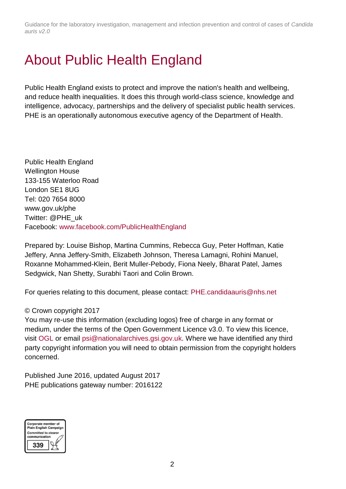## <span id="page-1-0"></span>About Public Health England

Public Health England exists to protect and improve the nation's health and wellbeing, and reduce health inequalities. It does this through world-class science, knowledge and intelligence, advocacy, partnerships and the delivery of specialist public health services. PHE is an operationally autonomous executive agency of the Department of Health.

Public Health England Wellington House 133-155 Waterloo Road London SE1 8UG Tel: 020 7654 8000 [www.gov.uk/phe](http://www.gov.uk/phe) Twitter: [@PHE\\_uk](https://twitter.com/PHE_uk) Facebook: [www.facebook.com/PublicHealthEngland](http://www.facebook.com/PublicHealthEngland)

Prepared by: Louise Bishop, Martina Cummins, Rebecca Guy, Peter Hoffman, Katie Jeffery, Anna Jeffery-Smith, Elizabeth Johnson, Theresa Lamagni, Rohini Manuel, Roxanne Mohammed-Klein, Berit Muller-Pebody, Fiona Neely, Bharat Patel, James Sedgwick, Nan Shetty, Surabhi Taori and Colin Brown.

For queries relating to this document, please contact: [PHE.candidaauris@nhs.net](mailto:PHE.candidaauris@nhs.net)

#### © Crown copyright 2017

You may re-use this information (excluding logos) free of charge in any format or medium, under the terms of the Open Government Licence v3.0. To view this licence, visit [OGL](https://www.nationalarchives.gov.uk/doc/open-government-licence/version/2/) or email [psi@nationalarchives.gsi.gov.uk.](mailto:psi@nationalarchives.gsi.gov.uk) Where we have identified any third party copyright information you will need to obtain permission from the copyright holders concerned.

Published June 2016, updated August 2017 PHE publications gateway number: 2016122

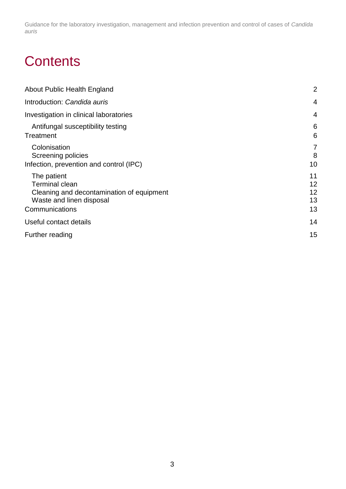## **Contents**

| About Public Health England                                                                                                     | $\overline{2}$             |
|---------------------------------------------------------------------------------------------------------------------------------|----------------------------|
| Introduction: Candida auris                                                                                                     | $\overline{4}$             |
| Investigation in clinical laboratories                                                                                          | $\overline{4}$             |
| Antifungal susceptibility testing<br>Treatment                                                                                  | 6<br>6                     |
| Colonisation<br>Screening policies<br>Infection, prevention and control (IPC)                                                   | 7<br>8<br>10               |
| The patient<br><b>Terminal clean</b><br>Cleaning and decontamination of equipment<br>Waste and linen disposal<br>Communications | 11<br>12<br>12<br>13<br>13 |
| Useful contact details                                                                                                          | 14                         |
| Further reading                                                                                                                 | 15                         |
|                                                                                                                                 |                            |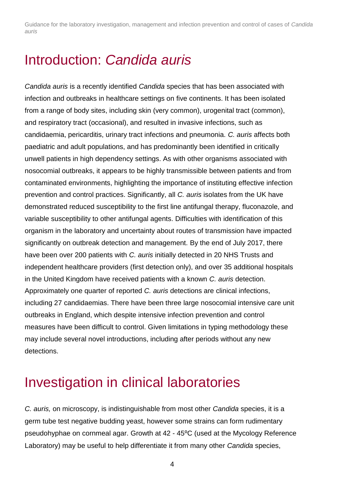### <span id="page-3-0"></span>Introduction: *Candida auris*

*Candida auris* is a recently identified *Candida* species that has been associated with infection and outbreaks in healthcare settings on five continents. It has been isolated from a range of body sites, including skin (very common), urogenital tract (common), and respiratory tract (occasional), and resulted in invasive infections, such as candidaemia, pericarditis, urinary tract infections and pneumonia. *C. auris* affects both paediatric and adult populations, and has predominantly been identified in critically unwell patients in high dependency settings. As with other organisms associated with nosocomial outbreaks, it appears to be highly transmissible between patients and from contaminated environments, highlighting the importance of instituting effective infection prevention and control practices. Significantly, all *C. auris* isolates from the UK have demonstrated reduced susceptibility to the first line antifungal therapy, fluconazole, and variable susceptibility to other antifungal agents. Difficulties with identification of this organism in the laboratory and uncertainty about routes of transmission have impacted significantly on outbreak detection and management. By the end of July 2017, there have been over 200 patients with *C. auris* initially detected in 20 NHS Trusts and independent healthcare providers (first detection only), and over 35 additional hospitals in the United Kingdom have received patients with a known *C. auris* detection. Approximately one quarter of reported *C. auris* detections are clinical infections, including 27 candidaemias. There have been three large nosocomial intensive care unit outbreaks in England, which despite intensive infection prevention and control measures have been difficult to control. Given limitations in typing methodology these may include several novel introductions, including after periods without any new detections.

### <span id="page-3-1"></span>Investigation in clinical laboratories

*C. auris,* on microscopy, is indistinguishable from most other *Candida* species, it is a germ tube test negative budding yeast, however some strains can form rudimentary pseudohyphae on cornmeal agar. Growth at 42 - 45<sup>o</sup>C (used at the Mycology Reference Laboratory) may be useful to help differentiate it from many other *Candida* species,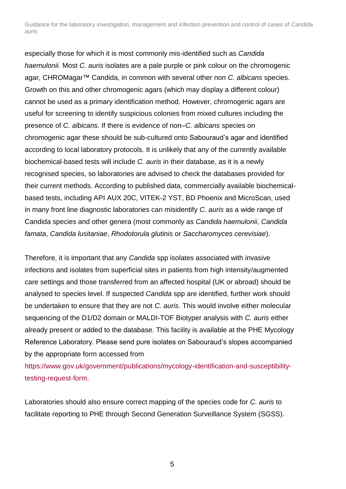especially those for which it is most commonly mis-identified such as *Candida haemulonii.* Most *C. auris* isolates are a pale purple or pink colour on the chromogenic agar, CHROMagar™ Candida, in common with several other non *C. albicans* species. Growth on this and other chromogenic agars (which may display a different colour) cannot be used as a primary identification method. However, chromogenic agars are useful for screening to identify suspicious colonies from mixed cultures including the presence of *C. albicans.* If there is evidence of non–*C. albicans* species on chromogenic agar these should be sub-cultured onto Sabouraud's agar and identified according to local laboratory protocols. It is unlikely that any of the currently available biochemical-based tests will include *C. auris* in their database, as it is a newly recognised species, so laboratories are advised to check the databases provided for their current methods. According to published data, commercially available biochemicalbased tests, including API AUX 20C, VITEK-2 YST, BD Phoenix and MicroScan, used in many front line diagnostic laboratories can misidentify *C. auris* as a wide range of Candida species and other genera (most commonly as *Candida haemulonii*, *Candida famata*, *Candida lusitaniae*, *Rhodotorula glutinis* or *Saccharomyces cerevisiae*).

Therefore, it is important that any *Candida* spp isolates associated with invasive infections and isolates from superficial sites in patients from high intensity/augmented care settings and those transferred from an affected hospital (UK or abroad) should be analysed to species level. If suspected *Candida* spp are identified, further work should be undertaken to ensure that they are not *C. auris*. This would involve either molecular sequencing of the D1/D2 domain or MALDI-TOF Biotyper analysis with *C. auris* either already present or added to the database. This facility is available at the PHE Mycology Reference Laboratory. Please send pure isolates on Sabouraud's slopes accompanied by the appropriate form accessed from

[https://www.gov.uk/government/publications/mycology-identification-and-susceptibility](https://www.gov.uk/government/publications/mycology-identification-and-susceptibility-testing-request-form)[testing-request-form.](https://www.gov.uk/government/publications/mycology-identification-and-susceptibility-testing-request-form)

Laboratories should also ensure correct mapping of the species code for *C. auris* to facilitate reporting to PHE through Second Generation Surveillance System (SGSS).

5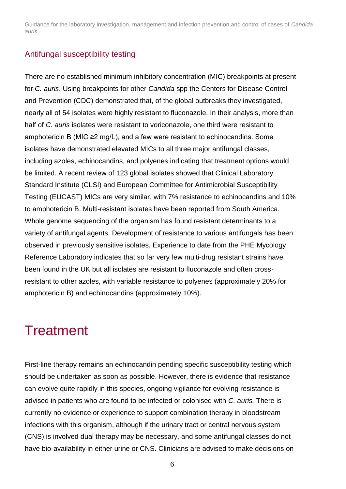#### <span id="page-5-0"></span>Antifungal susceptibility testing

There are no established minimum inhibitory concentration (MIC) breakpoints at present for *C. auris*. Using breakpoints for other *Candida* spp the Centers for Disease Control and Prevention (CDC) demonstrated that, of the global outbreaks they investigated, nearly all of 54 isolates were highly resistant to fluconazole. In their analysis, more than half of *C. auris* isolates were resistant to voriconazole, one third were resistant to amphotericin B (MIC ≥2 mg/L), and a few were resistant to echinocandins. Some isolates have demonstrated elevated MICs to all three major antifungal classes, including azoles, echinocandins, and polyenes indicating that treatment options would be limited. A recent review of 123 global isolates showed that Clinical Laboratory Standard Institute (CLSI) and European Committee for Antimicrobial Susceptibility Testing (EUCAST) MICs are very similar, with 7% resistance to echinocandins and 10% to amphotericin B. Multi-resistant isolates have been reported from South America. Whole genome sequencing of the organism has found resistant determinants to a variety of antifungal agents. Development of resistance to various antifungals has been observed in previously sensitive isolates. Experience to date from the PHE Mycology Reference Laboratory indicates that so far very few multi-drug resistant strains have been found in the UK but all isolates are resistant to fluconazole and often crossresistant to other azoles, with variable resistance to polyenes (approximately 20% for amphotericin B) and echinocandins (approximately 10%).

### <span id="page-5-1"></span>**Treatment**

First-line therapy remains an echinocandin pending specific susceptibility testing which should be undertaken as soon as possible. However, there is evidence that resistance can evolve quite rapidly in this species, ongoing vigilance for evolving resistance is advised in patients who are found to be infected or colonised with *C. auris.* There is currently no evidence or experience to support combination therapy in bloodstream infections with this organism, although if the urinary tract or central nervous system (CNS) is involved dual therapy may be necessary, and some antifungal classes do not have bio-availability in either urine or CNS. Clinicians are advised to make decisions on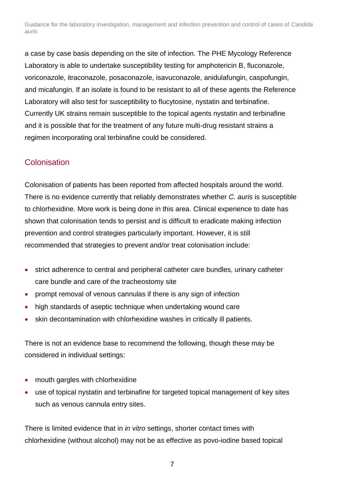a case by case basis depending on the site of infection. The PHE Mycology Reference Laboratory is able to undertake susceptibility testing for amphotericin B, fluconazole, voriconazole, itraconazole, posaconazole, isavuconazole, anidulafungin, caspofungin, and micafungin. If an isolate is found to be resistant to all of these agents the Reference Laboratory will also test for susceptibility to flucytosine, nystatin and terbinafine. Currently UK strains remain susceptible to the topical agents nystatin and terbinafine and it is possible that for the treatment of any future multi-drug resistant strains a regimen incorporating oral terbinafine could be considered.

#### <span id="page-6-0"></span>**Colonisation**

Colonisation of patients has been reported from affected hospitals around the world. There is no evidence currently that reliably demonstrates whether *C. auris* is susceptible to chlorhexidine. More work is being done in this area. Clinical experience to date has shown that colonisation tends to persist and is difficult to eradicate making infection prevention and control strategies particularly important. However, it is still recommended that strategies to prevent and/or treat colonisation include:

- strict adherence to central and peripheral catheter care bundles, urinary catheter care bundle and care of the tracheostomy site
- prompt removal of venous cannulas if there is any sign of infection
- high standards of aseptic technique when undertaking wound care
- skin decontamination with chlorhexidine washes in critically ill patients.

There is not an evidence base to recommend the following, though these may be considered in individual settings:

- mouth gargles with chlorhexidine
- use of topical nystatin and terbinafine for targeted topical management of key sites such as venous cannula entry sites.

There is limited evidence that in *in vitro* settings, shorter contact times with chlorhexidine (without alcohol) may not be as effective as povo-iodine based topical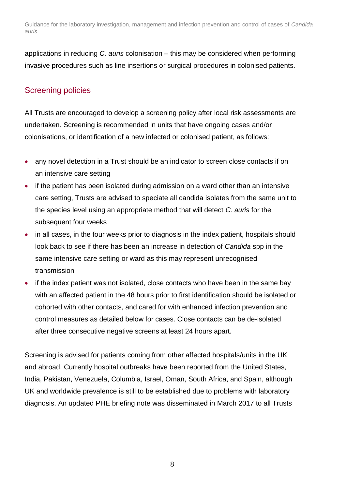applications in reducing *C. auris* colonisation – this may be considered when performing invasive procedures such as line insertions or surgical procedures in colonised patients.

#### <span id="page-7-0"></span>Screening policies

All Trusts are encouraged to develop a screening policy after local risk assessments are undertaken. Screening is recommended in units that have ongoing cases and/or colonisations, or identification of a new infected or colonised patient, as follows:

- any novel detection in a Trust should be an indicator to screen close contacts if on an intensive care setting
- if the patient has been isolated during admission on a ward other than an intensive care setting, Trusts are advised to speciate all candida isolates from the same unit to the species level using an appropriate method that will detect *C. auris* for the subsequent four weeks
- in all cases, in the four weeks prior to diagnosis in the index patient, hospitals should look back to see if there has been an increase in detection of *Candida* spp in the same intensive care setting or ward as this may represent unrecognised transmission
- if the index patient was not isolated, close contacts who have been in the same bay with an affected patient in the 48 hours prior to first identification should be isolated or cohorted with other contacts, and cared for with enhanced infection prevention and control measures as detailed below for cases. Close contacts can be de-isolated after three consecutive negative screens at least 24 hours apart.

Screening is advised for patients coming from other affected hospitals/units in the UK and abroad. Currently hospital outbreaks have been reported from the United States, India, Pakistan, Venezuela, Columbia, Israel, Oman, South Africa, and Spain, although UK and worldwide prevalence is still to be established due to problems with laboratory diagnosis. An updated PHE briefing note was disseminated in March 2017 to all Trusts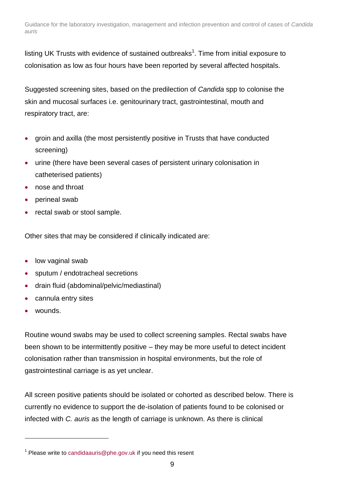listing UK Trusts with evidence of sustained outbreaks<sup>1</sup>. Time from initial exposure to colonisation as low as four hours have been reported by several affected hospitals.

Suggested screening sites, based on the predilection of *Candida* spp to colonise the skin and mucosal surfaces i.e. genitourinary tract, gastrointestinal, mouth and respiratory tract, are:

- groin and axilla (the most persistently positive in Trusts that have conducted screening)
- urine (there have been several cases of persistent urinary colonisation in catheterised patients)
- nose and throat
- perineal swab
- rectal swab or stool sample.

Other sites that may be considered if clinically indicated are:

- low vaginal swab
- sputum / endotracheal secretions
- drain fluid (abdominal/pelvic/mediastinal)
- cannula entry sites
- wounds.

l

Routine wound swabs may be used to collect screening samples. Rectal swabs have been shown to be intermittently positive – they may be more useful to detect incident colonisation rather than transmission in hospital environments, but the role of gastrointestinal carriage is as yet unclear.

All screen positive patients should be isolated or cohorted as described below. There is currently no evidence to support the de-isolation of patients found to be colonised or infected with *C. auris* as the length of carriage is unknown. As there is clinical

 $1$  Please write to [candidaauris@phe.gov.uk](mailto:candidaauris@phe.gov.uk) if you need this resent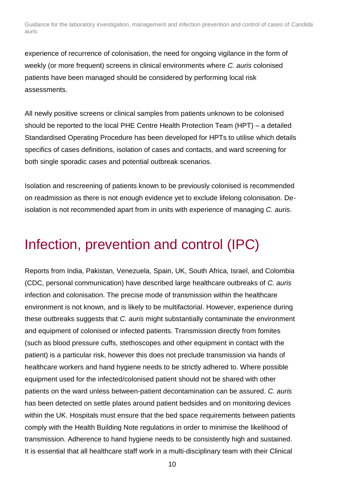experience of recurrence of colonisation, the need for ongoing vigilance in the form of weekly (or more frequent) screens in clinical environments where *C. auris* colonised patients have been managed should be considered by performing local risk assessments.

All newly positive screens or clinical samples from patients unknown to be colonised should be reported to the local PHE Centre Health Protection Team (HPT) – a detailed Standardised Operating Procedure has been developed for HPTs to utilise which details specifics of cases definitions, isolation of cases and contacts, and ward screening for both single sporadic cases and potential outbreak scenarios.

Isolation and rescreening of patients known to be previously colonised is recommended on readmission as there is not enough evidence yet to exclude lifelong colonisation. Deisolation is not recommended apart from in units with experience of managing *C. auris*.

## <span id="page-9-0"></span>Infection, prevention and control (IPC)

Reports from India, Pakistan, Venezuela, Spain, UK, South Africa, Israel, and Colombia (CDC, personal communication) have described large healthcare outbreaks of *C. auris* infection and colonisation. The precise mode of transmission within the healthcare environment is not known, and is likely to be multifactorial. However, experience during these outbreaks suggests that *C. auris* might substantially contaminate the environment and equipment of colonised or infected patients. Transmission directly from fomites (such as blood pressure cuffs, stethoscopes and other equipment in contact with the patient) is a particular risk, however this does not preclude transmission via hands of healthcare workers and hand hygiene needs to be strictly adhered to. Where possible equipment used for the infected/colonised patient should not be shared with other patients on the ward unless between-patient decontamination can be assured. *C. auris* has been detected on settle plates around patient bedsides and on monitoring devices within the UK. Hospitals must ensure that the bed space requirements between patients comply with the Health Building Note regulations in order to minimise the likelihood of transmission. Adherence to hand hygiene needs to be consistently high and sustained. It is essential that all healthcare staff work in a multi-disciplinary team with their Clinical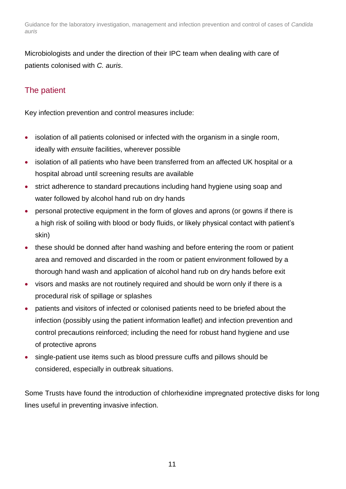Microbiologists and under the direction of their IPC team when dealing with care of patients colonised with *C. auris*.

### <span id="page-10-0"></span>The patient

Key infection prevention and control measures include:

- isolation of all patients colonised or infected with the organism in a single room, ideally with *ensuite* facilities, wherever possible
- isolation of all patients who have been transferred from an affected UK hospital or a hospital abroad until screening results are available
- strict adherence to standard precautions including hand hygiene using soap and water followed by alcohol hand rub on dry hands
- personal protective equipment in the form of gloves and aprons (or gowns if there is a high risk of soiling with blood or body fluids, or likely physical contact with patient's skin)
- these should be donned after hand washing and before entering the room or patient area and removed and discarded in the room or patient environment followed by a thorough hand wash and application of alcohol hand rub on dry hands before exit
- visors and masks are not routinely required and should be worn only if there is a procedural risk of spillage or splashes
- patients and visitors of infected or colonised patients need to be briefed about the infection (possibly using the patient information leaflet) and infection prevention and control precautions reinforced; including the need for robust hand hygiene and use of protective aprons
- single-patient use items such as blood pressure cuffs and pillows should be considered, especially in outbreak situations.

Some Trusts have found the introduction of chlorhexidine impregnated protective disks for long lines useful in preventing invasive infection.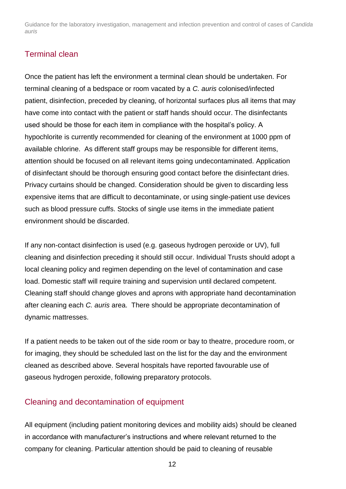#### <span id="page-11-0"></span>Terminal clean

Once the patient has left the environment a terminal clean should be undertaken. For terminal cleaning of a bedspace or room vacated by a *C. auris* colonised/infected patient, disinfection, preceded by cleaning, of horizontal surfaces plus all items that may have come into contact with the patient or staff hands should occur. The disinfectants used should be those for each item in compliance with the hospital's policy. A hypochlorite is currently recommended for cleaning of the environment at 1000 ppm of available chlorine. As different staff groups may be responsible for different items, attention should be focused on all relevant items going undecontaminated. Application of disinfectant should be thorough ensuring good contact before the disinfectant dries. Privacy curtains should be changed. Consideration should be given to discarding less expensive items that are difficult to decontaminate, or using single-patient use devices such as blood pressure cuffs. Stocks of single use items in the immediate patient environment should be discarded.

If any non-contact disinfection is used (e.g. gaseous hydrogen peroxide or UV), full cleaning and disinfection preceding it should still occur. Individual Trusts should adopt a local cleaning policy and regimen depending on the level of contamination and case load. Domestic staff will require training and supervision until declared competent. Cleaning staff should change gloves and aprons with appropriate hand decontamination after cleaning each *C. auris* area. There should be appropriate decontamination of dynamic mattresses.

If a patient needs to be taken out of the side room or bay to theatre, procedure room, or for imaging, they should be scheduled last on the list for the day and the environment cleaned as described above. Several hospitals have reported favourable use of gaseous hydrogen peroxide, following preparatory protocols.

#### <span id="page-11-1"></span>Cleaning and decontamination of equipment

All equipment (including patient monitoring devices and mobility aids) should be cleaned in accordance with manufacturer's instructions and where relevant returned to the company for cleaning. Particular attention should be paid to cleaning of reusable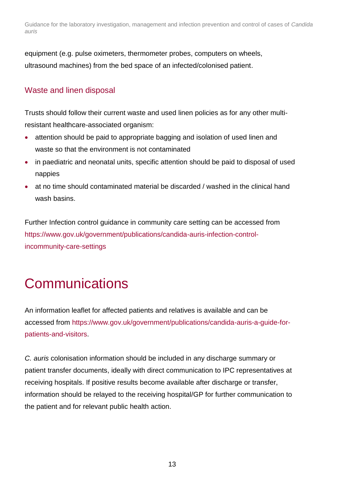equipment (e.g. pulse oximeters, thermometer probes, computers on wheels, ultrasound machines) from the bed space of an infected/colonised patient.

#### <span id="page-12-0"></span>Waste and linen disposal

Trusts should follow their current waste and used linen policies as for any other multiresistant healthcare-associated organism:

- attention should be paid to appropriate bagging and isolation of used linen and waste so that the environment is not contaminated
- in paediatric and neonatal units, specific attention should be paid to disposal of used nappies
- at no time should contaminated material be discarded / washed in the clinical hand wash basins.

Further Infection control guidance in community care setting can be accessed from [https://www.gov.uk/government/publications/candida-auris-infection-control](https://www.gov.uk/government/publications/candida-auris-infection-control-incommunity-care-settings)[incommunity-care-settings](https://www.gov.uk/government/publications/candida-auris-infection-control-incommunity-care-settings)

## <span id="page-12-1"></span>**Communications**

An information leaflet for affected patients and relatives is available and can be accessed from [https://www.gov.uk/government/publications/candida-auris-a-guide-for](https://www.gov.uk/government/publications/candida-auris-a-guide-for-patients-and-visitors)[patients-and-visitors.](https://www.gov.uk/government/publications/candida-auris-a-guide-for-patients-and-visitors)

*C. auris* colonisation information should be included in any discharge summary or patient transfer documents, ideally with direct communication to IPC representatives at receiving hospitals. If positive results become available after discharge or transfer, information should be relayed to the receiving hospital/GP for further communication to the patient and for relevant public health action.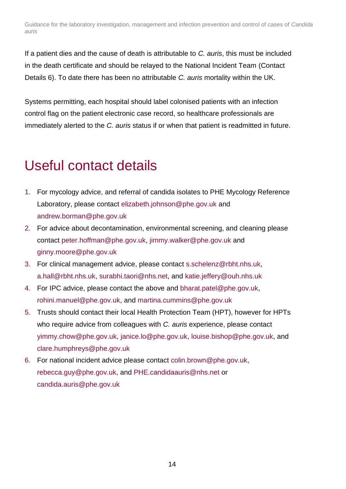If a patient dies and the cause of death is attributable to *C. auris*, this must be included in the death certificate and should be relayed to the National Incident Team (Contact Details 6). To date there has been no attributable *C. auris* mortality within the UK.

Systems permitting, each hospital should label colonised patients with an infection control flag on the patient electronic case record, so healthcare professionals are immediately alerted to the *C. auris* status if or when that patient is readmitted in future.

### <span id="page-13-0"></span>Useful contact details

- 1. For mycology advice, and referral of candida isolates to PHE Mycology Reference Laboratory, please contact [elizabeth.johnson@phe.gov.uk](mailto:elizabeth.johnson@phe.gov.uk) and andrew.borman@phe.gov.uk
- 2. For advice about decontamination, environmental screening, and cleaning please contact [peter.hoffman@phe.gov.uk,](mailto:peter.hoffman@phe.gov.uk) [jimmy.walker@phe.gov.uk](mailto:jimmy.walker@phe.gov.uk) and [ginny.moore@phe.gov.uk](mailto:ginny.moore@phe.gov.uk)
- 3. For clinical management advice, please contact [s.schelenz@rbht.nhs.uk,](mailto:s.schelenz@rbht.nhs.uk) [a.hall@rbht.nhs.uk,](mailto:a.hall@rbht.nhs.uk) [surabhi.taori@nhs.net,](mailto:surabhi.taori@nhs.net) and [katie.jeffery@ouh.nhs.uk](mailto:katie.jeffery@ouh.nhs.uk)
- 4. For IPC advice, please contact the above and [bharat.patel@phe.gov.uk,](mailto:bharat.patel@phe.gov.uk) [rohini.manuel@phe.gov.uk,](mailto:rohini.manuel@phe.gov.uk) and martina.cummins@phe.gov.uk
- 5. Trusts should contact their local Health Protection Team (HPT), however for HPTs who require advice from colleagues with *C. auris* experience, please contact [yimmy.chow@phe.gov.uk,](mailto:yimmy.chow@phe.gov.uk) [janice.lo@phe.gov.uk,](mailto:janice.lo@phe.gov.uk) [louise.bishop@phe.gov.uk,](mailto:louise.bishop@phe.gov.uk) and [clare.humphreys@phe.gov.uk](mailto:clare.humphreys@phe.gov.uk)
- 6. For national incident advice please contact [colin.brown@phe.gov.uk,](mailto:colin.brown@phe.gov.uk) [rebecca.guy@phe.gov.uk,](mailto:rebecca.guy@phe.gov.uk) and [PHE.candidaauris@nhs.net](mailto:PHE.candidaauris@nhs.net) or [candida.auris@phe.gov.uk](mailto:candida.auris@phe.gov.uk)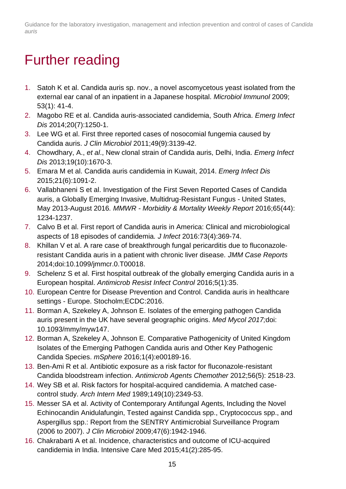## <span id="page-14-0"></span>Further reading

- 1. Satoh K et al. Candida auris sp. nov., a novel ascomycetous yeast isolated from the external ear canal of an inpatient in a Japanese hospital. *Microbiol Immunol* 2009; 53(1): 41-4.
- 2. Magobo RE et al. Candida auris-associated candidemia, South Africa. *Emerg Infect Dis* 2014;20(7):1250-1.
- 3. Lee WG et al. First three reported cases of nosocomial fungemia caused by Candida auris. *J Clin Microbiol* 2011;49(9):3139-42.
- 4. Chowdhary, A., *et al*., New clonal strain of Candida auris, Delhi, India. *Emerg Infect Dis* 2013;19(10):1670-3.
- 5. Emara M et al. Candida auris candidemia in Kuwait, 2014. *Emerg Infect Dis* 2015;21(6):1091-2.
- 6. Vallabhaneni S et al. Investigation of the First Seven Reported Cases of Candida auris, a Globally Emerging Invasive, Multidrug-Resistant Fungus - United States, May 2013-August 2016*. MMWR - Morbidity & Mortality Weekly Report* 2016;65(44): 1234-1237.
- 7. Calvo B et al. First report of Candida auris in America: Clinical and microbiological aspects of 18 episodes of candidemia*. J Infect* 2016:73(4):369-74.
- 8. Khillan V et al. A rare case of breakthrough fungal pericarditis due to fluconazoleresistant Candida auris in a patient with chronic liver disease*. JMM Case Reports* 2014;doi:10.1099/jmmcr.0.T00018.
- 9. Schelenz S et al. First hospital outbreak of the globally emerging Candida auris in a European hospital. *Antimicrob Resist Infect Control* 2016;5(1):35.
- 10. European Centre for Disease Prevention and Control. Candida auris in healthcare settings - Europe. Stocholm;ECDC:2016.
- 11. Borman A, Szekeley A, Johnson E. Isolates of the emerging pathogen Candida auris present in the UK have several geographic origins. *Med Mycol 2017;*doi: 10.1093/mmy/myw147.
- 12. Borman A, Szekeley A, Johnson E. Comparative Pathogenicity of United Kingdom Isolates of the Emerging Pathogen Candida auris and Other Key Pathogenic Candida Species. *mSphere* 2016;1(4):e00189-16.
- 13. Ben-Ami R et al. Antibiotic exposure as a risk factor for fluconazole-resistant Candida bloodstream infection. *Antimicrob Agents Chemother* 2012;56(5): 2518-23.
- 14. Wey SB et al. Risk factors for hospital-acquired candidemia. A matched casecontrol study. *Arch Intern Med* 1989;149(10):2349-53.
- 15. Messer SA et al. Activity of Contemporary Antifungal Agents, Including the Novel Echinocandin Anidulafungin, Tested against Candida spp., Cryptococcus spp., and Aspergillus spp.: Report from the SENTRY Antimicrobial Surveillance Program (2006 to 2007). *J Clin Microbiol* 2009;47(6):1942-1946.
- 16. Chakrabarti A et al. Incidence, characteristics and outcome of ICU-acquired candidemia in India. Intensive Care Med 2015;41(2):285-95.